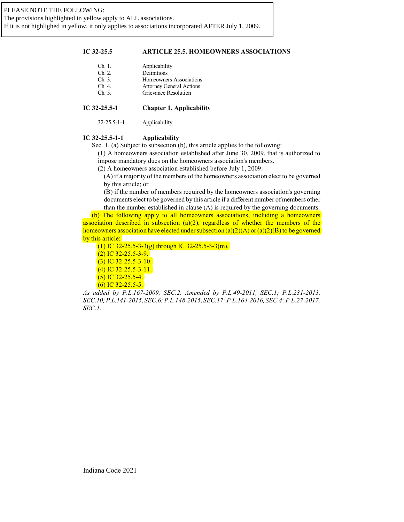# **IC 32-25.5 ARTICLE 25.5. HOMEOWNERS ASSOCIATIONS**

| Ch. 1. | Applicability                   |
|--------|---------------------------------|
| Ch. 2. | Definitions                     |
| Ch.3.  | Homeowners Associations         |
| Ch.4   | <b>Attorney General Actions</b> |
| Ch.5   | <b>Grievance Resolution</b>     |
|        |                                 |

# **IC 32-25.5-1 Chapter 1. Applicability**

32-25.5-1-1 Applicability

# **IC 32-25.5-1-1 Applicability**

Sec. 1. (a) Subject to subsection (b), this article applies to the following:

(1) A homeowners association established after June 30, 2009, that is authorized to impose mandatory dues on the homeowners association's members.

(2) A homeowners association established before July 1, 2009:

(A) if a majority of the members ofthe homeowners association elect to be governed by this article; or

(B) if the number of members required by the homeowners association's governing documents elect to be governed by this article if a different number of members other than the number established in clause (A) is required by the governing documents.

(b) The following apply to all homeowners associations, including a homeowners association described in subsection (a)(2), regardless of whether the members of the homeowners association have elected under subsection (a)(2)(A) or (a)(2)(B) to be governed by this article:

(1) IC 32-25.5-3-3(g) through IC 32-25.5-3-3(m).

 $(2)$  IC 32-25.5-3-9.

(3) IC 32-25.5-3-10.

(4) IC 32-25.5-3-11.

 $(5)$  IC 32-25.5-4.

 $(6)$  IC 32-25.5-5.

*As added by P.L.167-2009, SEC.2. Amended by P.L.49-2011, SEC.1; P.L.231-2013, SEC.10;P.L.141-2015, SEC.6; P.L.148-2015, SEC.17; P.L.164-2016, SEC.4; P.L.27-2017, SEC.1.*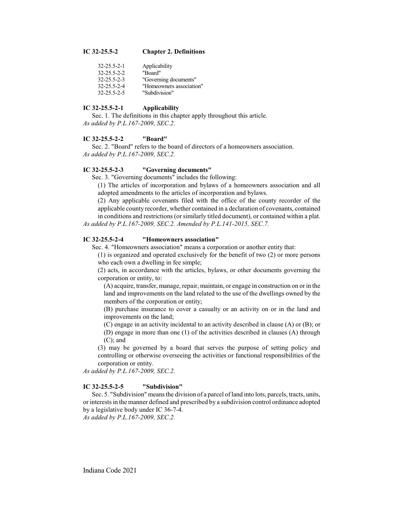#### **IC 32-25.5-2 Chapter 2. Definitions**

| 32-25.5-2-1 | Applicability            |
|-------------|--------------------------|
| 32-25.5-2-2 | "Board"                  |
| 32-25.5-2-3 | "Governing documents"    |
| 32-25.5-2-4 | "Homeowners association" |
| 32-25.5-2-5 | "Subdivision"            |

### **IC 32-25.5-2-1 Applicability**

Sec. 1. The definitions in this chapter apply throughout this article. *As added by P.L.167-2009, SEC.2.*

### **IC 32-25.5-2-2 "Board"**

Sec. 2. "Board" refers to the board of directors of a homeowners association. *As added by P.L.167-2009, SEC.2.*

## **IC 32-25.5-2-3 "Governing documents"**

Sec. 3. "Governing documents" includes the following:

(1) The articles of incorporation and bylaws of a homeowners association and all adopted amendments to the articles of incorporation and bylaws.

(2) Any applicable covenants filed with the office of the county recorder of the applicable county recorder, whether contained in a declaration of covenants, contained in conditions and restrictions (or similarly titled document), or contained within a plat.

*As added by P.L.167-2009, SEC.2. Amended by P.L.141-2015, SEC.7.*

# **IC 32-25.5-2-4 "Homeowners association"**

Sec. 4. "Homeowners association" means a corporation or another entity that:

(1) is organized and operated exclusively for the benefit of two (2) or more persons who each own a dwelling in fee simple;

(2) acts, in accordance with the articles, bylaws, or other documents governing the corporation or entity, to:

(A) acquire, transfer, manage, repair, maintain, or engage in construction on or in the land and improvements on the land related to the use of the dwellings owned by the members of the corporation or entity;

(B) purchase insurance to cover a casualty or an activity on or in the land and improvements on the land;

(C) engage in an activity incidental to an activity described in clause (A) or (B); or

(D) engage in more than one (1) of the activities described in clauses (A) through (C); and

(3) may be governed by a board that serves the purpose of setting policy and controlling or otherwise overseeing the activities or functional responsibilities of the corporation or entity.

*As added by P.L.167-2009, SEC.2.*

#### **IC 32-25.5-2-5 "Subdivision"**

Sec. 5. "Subdivision" means the division of a parcel of land into lots, parcels, tracts, units, or interests in the manner defined and prescribed by a subdivision control ordinance adopted by a legislative body under IC 36-7-4.

*As added by P.L.167-2009, SEC.2.*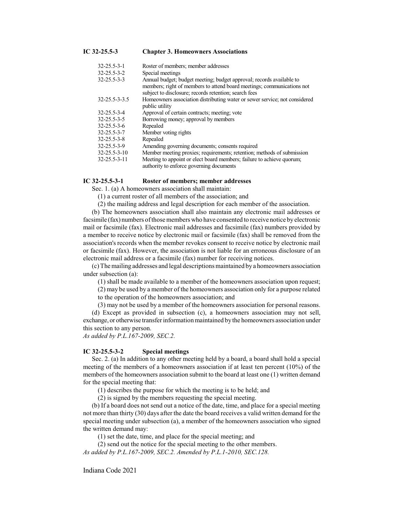#### **IC 32-25.5-3 Chapter 3. Homeowners Associations**

| 32-25.5-3-1   | Roster of members; member addresses                                                                                                                                                                     |
|---------------|---------------------------------------------------------------------------------------------------------------------------------------------------------------------------------------------------------|
| 32-25.5-3-2   | Special meetings                                                                                                                                                                                        |
| 32-25.5-3-3   | Annual budget; budget meeting; budget approval; records available to<br>members; right of members to attend board meetings; communications not<br>subject to disclosure; records retention; search fees |
| 32-25.5-3-3.5 | Homeowners association distributing water or sewer service; not considered<br>public utility                                                                                                            |
| 32-25.5-3-4   | Approval of certain contracts; meeting; vote                                                                                                                                                            |
| 32-25.5-3-5   | Borrowing money; approval by members                                                                                                                                                                    |
| 32-25.5-3-6   | Repealed                                                                                                                                                                                                |
| 32-25.5-3-7   | Member voting rights                                                                                                                                                                                    |
| 32-25.5-3-8   | Repealed                                                                                                                                                                                                |
| 32-25.5-3-9   | Amending governing documents; consents required                                                                                                                                                         |
| 32-25.5-3-10  | Member meeting proxies; requirements; retention; methods of submission                                                                                                                                  |
| 32-25.5-3-11  | Meeting to appoint or elect board members; failure to achieve quorum;<br>authority to enforce governing documents                                                                                       |

#### **IC 32-25.5-3-1 Roster of members; member addresses**

Sec. 1. (a) A homeowners association shall maintain:

(1) a current roster of all members of the association; and

(2) the mailing address and legal description for each member of the association.

(b) The homeowners association shall also maintain any electronic mail addresses or facsimile (fax) numbers ofthose members who have consented to receive notice by electronic mail or facsimile (fax). Electronic mail addresses and facsimile (fax) numbers provided by a member to receive notice by electronic mail or facsimile (fax) shall be removed from the association's records when the member revokes consent to receive notice by electronic mail or facsimile (fax). However, the association is not liable for an erroneous disclosure of an electronic mail address or a facsimile (fax) number for receiving notices.

(c) The mailing addresses and legal descriptions maintained by a homeowners association under subsection (a):

(1) shall be made available to a member of the homeowners association upon request;

(2) may be used by a member of the homeowners association only for a purpose related to the operation of the homeowners association; and

(3) may not be used by a member of the homeowners association for personal reasons.

(d) Except as provided in subsection (c), a homeowners association may not sell, exchange, or otherwise transfer information maintained by the homeowners association under this section to any person.

*As added by P.L.167-2009, SEC.2.*

#### **IC 32-25.5-3-2 Special meetings**

Sec. 2. (a) In addition to any other meeting held by a board, a board shall hold a special meeting of the members of a homeowners association if at least ten percent (10%) of the members of the homeowners association submit to the board at least one (1) written demand for the special meeting that:

(1) describes the purpose for which the meeting is to be held; and

(2) is signed by the members requesting the special meeting.

(b) If a board does not send out a notice of the date, time, and place for a special meeting not more than thirty (30) days after the date the board receives a valid written demand for the special meeting under subsection (a), a member of the homeowners association who signed the written demand may:

(1) set the date, time, and place for the special meeting; and

(2) send out the notice for the special meeting to the other members.

*As added by P.L.167-2009, SEC.2. Amended by P.L.1-2010, SEC.128.*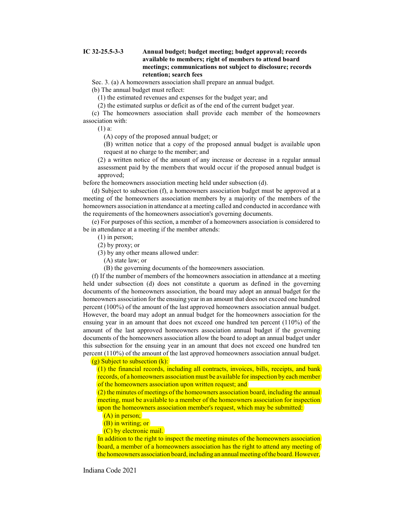## **IC 32-25.5-3-3 Annual budget; budget meeting; budget approval; records available to members; right of members to attend board meetings; communications not subject to disclosure; records retention; search fees**

Sec. 3. (a) A homeowners association shall prepare an annual budget.

(b) The annual budget must reflect:

(1) the estimated revenues and expenses for the budget year; and

(2) the estimated surplus or deficit as of the end of the current budget year.

(c) The homeowners association shall provide each member of the homeowners association with:

(1) a:

(A) copy of the proposed annual budget; or

(B) written notice that a copy of the proposed annual budget is available upon request at no charge to the member; and

(2) a written notice of the amount of any increase or decrease in a regular annual assessment paid by the members that would occur if the proposed annual budget is approved;

before the homeowners association meeting held under subsection (d).

(d) Subject to subsection (f), a homeowners association budget must be approved at a meeting of the homeowners association members by a majority of the members of the homeowners association in attendance at a meeting called and conducted in accordance with the requirements of the homeowners association's governing documents.

(e) For purposes of this section, a member of a homeowners association is considered to be in attendance at a meeting if the member attends:

(1) in person;

(2) by proxy; or

(3) by any other means allowed under:

(A) state law; or

(B) the governing documents of the homeowners association.

(f) If the number of members of the homeowners association in attendance at a meeting held under subsection (d) does not constitute a quorum as defined in the governing documents of the homeowners association, the board may adopt an annual budget for the homeowners association for the ensuing year in an amount that does not exceed one hundred percent (100%) of the amount of the last approved homeowners association annual budget. However, the board may adopt an annual budget for the homeowners association for the ensuing year in an amount that does not exceed one hundred ten percent (110%) of the amount of the last approved homeowners association annual budget if the governing documents of the homeowners association allow the board to adopt an annual budget under this subsection for the ensuing year in an amount that does not exceed one hundred ten percent (110%) of the amount of the last approved homeowners association annual budget.

 $(g)$  Subject to subsection  $(k)$ :

(1) the financial records, including all contracts, invoices, bills, receipts, and bank records, of a homeowners association must be available for inspection by each member of the homeowners association upon written request; and

(2) the minutes of meetings of the homeowners association board, including the annual meeting, must be available to a member of the homeowners association for inspection upon the homeowners association member's request, which may be submitted:

(A) in person;

(B) in writing; or

(C) by electronic mail.

In addition to the right to inspect the meeting minutes of the homeowners association board, a member of a homeowners association has the right to attend any meeting of the homeowners association board, including an annual meeting ofthe board. However,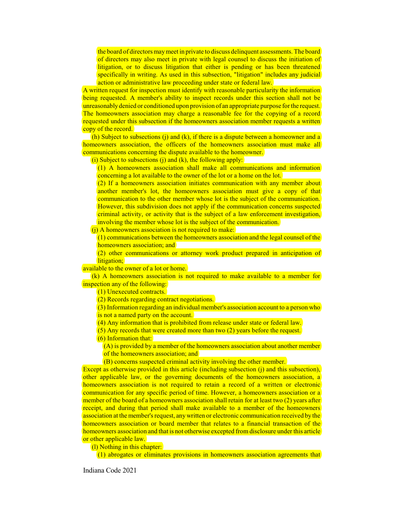the board of directors maymeet in private to discuss delinquent assessments. The board of directors may also meet in private with legal counsel to discuss the initiation of litigation, or to discuss litigation that either is pending or has been threatened specifically in writing. As used in this subsection, "litigation" includes any judicial action or administrative law proceeding under state or federal law.

A written request for inspection must identify with reasonable particularity the information being requested. A member's ability to inspect records under this section shall not be unreasonably denied or conditioned upon provision of an appropriate purpose for the request. The homeowners association may charge a reasonable fee for the copying of a record requested under this subsection if the homeowners association member requests a written copy of the record.

(h) Subject to subsections (j) and (k), if there is a dispute between a homeowner and a homeowners association, the officers of the homeowners association must make all communications concerning the dispute available to the homeowner.

(i) Subject to subsections (j) and (k), the following apply:

(1) A homeowners association shall make all communications and information concerning a lot available to the owner of the lot or a home on the lot.

(2) If a homeowners association initiates communication with any member about another member's lot, the homeowners association must give a copy of that communication to the other member whose lot is the subject of the communication. However, this subdivision does not apply if the communication concerns suspected criminal activity, or activity that is the subject of a law enforcement investigation, involving the member whose lot is the subject of the communication.

(i) A homeowners association is not required to make:

 $(1)$  communications between the homeowners association and the legal counsel of the homeowners association; and

(2) other communications or attorney work product prepared in anticipation of litigation:

available to the owner of a lot or home.

(k) A homeowners association is not required to make available to a member for inspection any of the following:

(1) Unexecuted contracts.

(2) Records regarding contract negotiations.

(3) Information regarding an individual member's association account to a person who is not a named party on the account.

(4) Any information that is prohibited from release under state or federal law.

(5) Any records that were created more than two (2) years before the request.

(6) Information that:

(A) is provided by a member of the homeowners association about another member of the homeowners association; and

(B) concerns suspected criminal activity involving the other member.

Except as otherwise provided in this article (including subsection (j) and this subsection), other applicable law, or the governing documents of the homeowners association, a homeowners association is not required to retain a record of a written or electronic communication for any specific period of time. However, a homeowners association or a member of the board of a homeowners association shall retain for at least two (2) years after receipt, and during that period shall make available to a member of the homeowners association at the member's request, any written or electronic communication received by the homeowners association or board member that relates to a financial transaction of the homeowners association and that is not otherwise excepted from disclosure under this article or other applicable law.

(l) Nothing in this chapter:

(1) abrogates or eliminates provisions in homeowners association agreements that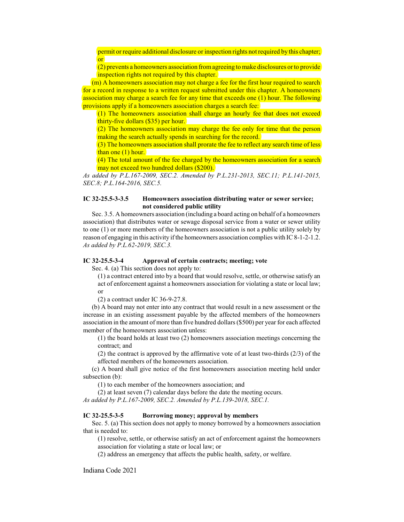permit or require additional disclosure or inspection rights not required by this chapter; or

(2) prevents a homeowners association fromagreeing to make disclosures or to provide inspection rights not required by this chapter.

(m) A homeowners association may not charge a fee for the first hour required to search for a record in response to a written request submitted under this chapter. A homeowners association may charge a search fee for any time that exceeds one (1) hour. The following provisions apply if a homeowners association charges a search fee:

(1) The homeowners association shall charge an hourly fee that does not exceed thirty-five dollars (\$35) per hour.

 $(2)$  The homeowners association may charge the fee only for time that the person making the search actually spends in searching for the record.

(3) The homeowners association shall prorate the fee to reflect any search time of less than one (1) hour.

(4) The total amount of the fee charged by the homeowners association for a search may not exceed two hundred dollars (\$200).

*As added by P.L.167-2009, SEC.2. Amended by P.L.231-2013, SEC.11; P.L.141-2015, SEC.8; P.L.164-2016, SEC.5.*

## **IC 32-25.5-3-3.5 Homeowners association distributing water or sewer service; not considered public utility**

Sec. 3.5. A homeowners association (including a board acting on behalf of a homeowners association) that distributes water or sewage disposal service from a water or sewer utility to one (1) or more members of the homeowners association is not a public utility solely by reason of engaging in this activity ifthe homeowners association complies with IC 8-1-2-1.2. *As added by P.L.62-2019, SEC.3.*

# **IC 32-25.5-3-4 Approval of certain contracts; meeting; vote**

Sec. 4. (a) This section does not apply to:

(1) a contract entered into by a board that would resolve, settle, or otherwise satisfy an act of enforcement against a homeowners association for violating a state or local law; or

(2) a contract under IC 36-9-27.8.

(b) A board may not enter into any contract that would result in a new assessment or the increase in an existing assessment payable by the affected members of the homeowners association in the amount of more than five hundred dollars (\$500) per year for each affected member of the homeowners association unless:

(1) the board holds at least two (2) homeowners association meetings concerning the contract; and

(2) the contract is approved by the affirmative vote of at least two-thirds (2/3) of the affected members of the homeowners association.

(c) A board shall give notice of the first homeowners association meeting held under subsection (b):

(1) to each member of the homeowners association; and

(2) at least seven (7) calendar days before the date the meeting occurs. *As added by P.L.167-2009, SEC.2. Amended by P.L.139-2018, SEC.1.*

#### **IC 32-25.5-3-5 Borrowing money; approval by members**

Sec. 5. (a) This section does not apply to money borrowed by a homeowners association that is needed to:

(1) resolve, settle, or otherwise satisfy an act of enforcement against the homeowners association for violating a state or local law; or

(2) address an emergency that affects the public health, safety, or welfare.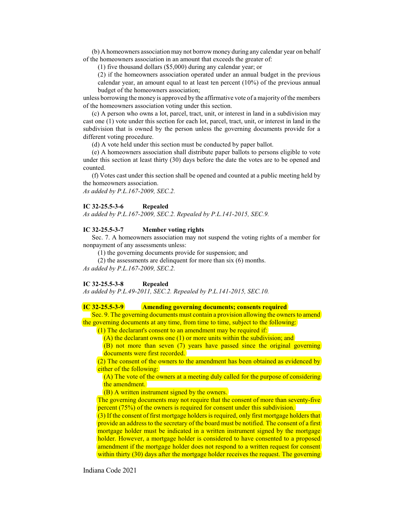(b) A homeowners association may not borrowmoney during any calendar year on behalf of the homeowners association in an amount that exceeds the greater of:

(1) five thousand dollars (\$5,000) during any calendar year; or

(2) if the homeowners association operated under an annual budget in the previous calendar year, an amount equal to at least ten percent (10%) of the previous annual

budget of the homeowners association;

unless borrowing the money is approved by the affirmative vote of a majority of the members of the homeowners association voting under this section.

(c) A person who owns a lot, parcel, tract, unit, or interest in land in a subdivision may cast one (1) vote under this section for each lot, parcel, tract, unit, or interest in land in the subdivision that is owned by the person unless the governing documents provide for a different voting procedure.

(d) A vote held under this section must be conducted by paper ballot.

(e) A homeowners association shall distribute paper ballots to persons eligible to vote under this section at least thirty (30) days before the date the votes are to be opened and counted.

(f) Votes cast under this section shall be opened and counted at a public meeting held by the homeowners association.

*As added by P.L.167-2009, SEC.2.*

#### **IC 32-25.5-3-6 Repealed**

*As added by P.L.167-2009, SEC.2. Repealed by P.L.141-2015, SEC.9.*

#### **IC 32-25.5-3-7 Member voting rights**

Sec. 7. A homeowners association may not suspend the voting rights of a member for nonpayment of any assessments unless:

(1) the governing documents provide for suspension; and

(2) the assessments are delinquent for more than six (6) months. *As added by P.L.167-2009, SEC.2.*

## **IC 32-25.5-3-8 Repealed**

*As added by P.L.49-2011, SEC.2. Repealed by P.L.141-2015, SEC.10.*

# **IC 32-25.5-3-9 Amending governing documents; consents required**

Sec. 9. The governing documents must contain a provision allowing the owners to amend the governing documents at any time, from time to time, subject to the following:

(1) The declarant's consent to an amendment may be required if:

(A) the declarant owns one (1) or more units within the subdivision; and

(B) not more than seven (7) years have passed since the original governing documents were first recorded.

(2) The consent of the owners to the amendment has been obtained as evidenced by either of the following:

 $(A)$  The vote of the owners at a meeting duly called for the purpose of considering the amendment.

(B) A written instrument signed by the owners.

The governing documents may not require that the consent of more than seventy-five percent (75%) of the owners is required for consent under this subdivision.

(3) If the consent of first mortgage holders is required, only first mortgage holders that provide an address to the secretary of the board must be notified. The consent of a first mortgage holder must be indicated in a written instrument signed by the mortgage holder. However, a mortgage holder is considered to have consented to a proposed amendment if the mortgage holder does not respond to a written request for consent within thirty (30) days after the mortgage holder receives the request. The governing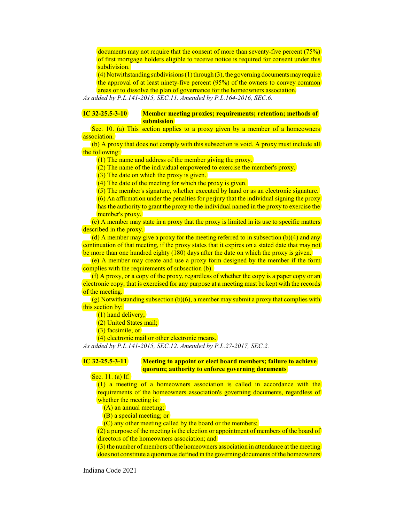documents may not require that the consent of more than seventy-five percent (75%) of first mortgage holders eligible to receive notice is required for consent under this subdivision.

 $(4)$  Notwithstanding subdivisions  $(1)$  through  $(3)$ , the governing documents may require the approval of at least ninety-five percent (95%) of the owners to convey common areas or to dissolve the plan of governance for the homeowners association.

*As added by P.L.141-2015, SEC.11. Amended by P.L.164-2016, SEC.6.*

# **IC 32-25.5-3-10 Member meeting proxies; requirements; retention; methods of submission**

Sec. 10. (a) This section applies to a proxy given by a member of a homeowners association.

(b) A proxy that does not comply with this subsection is void. A proxy must include all the following:

(1) The name and address of the member giving the proxy.

(2) The name of the individual empowered to exercise the member's proxy.

(3) The date on which the proxy is given.

(4) The date of the meeting for which the proxy is given.

(5) The member's signature, whether executed by hand or as an electronic signature.

(6) An affirmation under the penalties for perjury that the individual signing the proxy has the authority to grant the proxy to the individual named in the proxy to exercise the

member's proxy.

(c) A member may state in a proxy that the proxy is limited in its use to specific matters described in the proxy.

(d) A member may give a proxy for the meeting referred to in subsection  $(b)(4)$  and any continuation of that meeting, if the proxy states that it expires on a stated date that may not be more than one hundred eighty (180) days after the date on which the proxy is given.

(e) A member may create and use a proxy form designed by the member if the form complies with the requirements of subsection (b).

(f) A proxy, or a copy of the proxy, regardless of whether the copy is a paper copy or an electronic copy, that is exercised for any purpose at a meeting must be kept with the records of the meeting.

 $(g)$  Notwithstanding subsection  $(b)(6)$ , a member may submit a proxy that complies with this section by:

(1) hand delivery;

(2) United States mail;

(3) facsimile; or

(4) electronic mail or other electronic means.

*As added by P.L.141-2015, SEC.12. Amended by P.L.27-2017, SEC.2.*

# **IC 32-25.5-3-11 Meeting to appoint or elect board members; failure to achieve quorum; authority to enforce governing documents**

Sec. 11. (a) If:

(1) a meeting of a homeowners association is called in accordance with the requirements of the homeowners association's governing documents, regardless of whether the meeting is:

(A) an annual meeting;

(B) a special meeting; or

(C) any other meeting called by the board or the members;

 $(2)$  a purpose of the meeting is the election or appointment of members of the board of directors of the homeowners association; and

 $(3)$  the number of members of the homeowners association in attendance at the meeting does not constitute a quorum as defined in the governing documents of the homeowners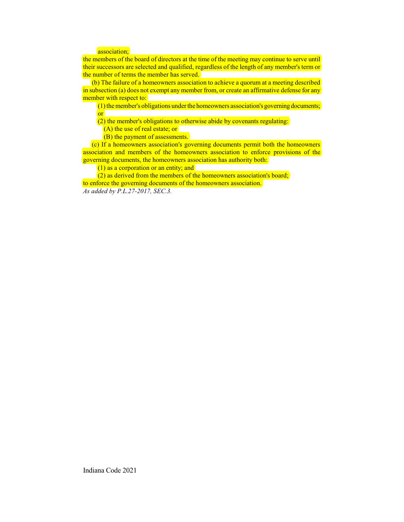## association;

the members of the board of directors at the time of the meeting may continue to serve until their successors are selected and qualified, regardless of the length of any member's term or the number of terms the member has served.

(b) The failure of a homeowners association to achieve a quorum at a meeting described in subsection (a) does not exempt any member from, or create an affirmative defense for any member with respect to:

 $(1)$  the member's obligations under the homeowners association's governing documents; or

(2) the member's obligations to otherwise abide by covenants regulating:

(A) the use of real estate; or

(B) the payment of assessments.

(c) If a homeowners association's governing documents permit both the homeowners association and members of the homeowners association to enforce provisions of the governing documents, the homeowners association has authority both:

(1) as a corporation or an entity; and

(2) as derived from the members of the homeowners association's board; to enforce the governing documents of the homeowners association. *As added by P.L.27-2017, SEC.3.*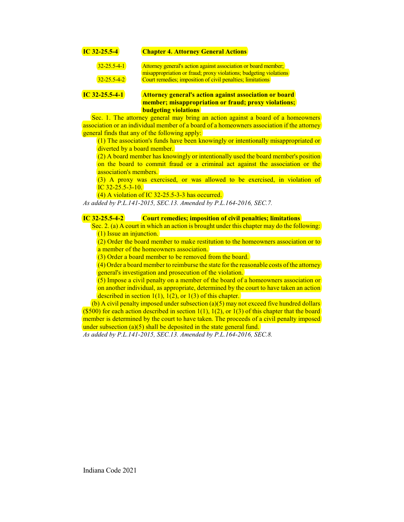| $IC$ 32-25.5-4      | <b>Chapter 4. Attorney General Actions</b>                                                                                          |
|---------------------|-------------------------------------------------------------------------------------------------------------------------------------|
| $32 - 25.5 - 4 - 1$ | Attorney general's action against association or board member;<br>misappropriation or fraud; proxy violations; budgeting violations |
| $32 - 25.5 - 4 - 2$ | Court remedies; imposition of civil penalties; limitations                                                                          |
| $IC$ 32-25.5-4-1    | <b>Attorney general's action against association or board</b>                                                                       |

**member; misappropriation or fraud; proxy violations; budgeting violations**

Sec. 1. The attorney general may bring an action against a board of a homeowners association or an individual member of a board of a homeowners association if the attorney general finds that any of the following apply:

(1) The association's funds have been knowingly or intentionally misappropriated or diverted by a board member.

(2) A board member has knowingly or intentionally used the board member's position on the board to commit fraud or a criminal act against the association or the association's members.

(3) A proxy was exercised, or was allowed to be exercised, in violation of IC 32-25.5-3-10.

(4) A violation of IC 32-25.5-3-3 has occurred.

*As added by P.L.141-2015, SEC.13. Amended by P.L.164-2016, SEC.7.*

# **IC 32-25.5-4-2 Court remedies; imposition of civil penalties; limitations**

Sec. 2. (a) A court in which an action is brought under this chapter may do the following: (1) Issue an injunction.

(2) Order the board member to make restitution to the homeowners association or to a member of the homeowners association.

(3) Order a board member to be removed from the board.

 $(4)$  Order a board member to reimburse the state for the reasonable costs of the attorney general's investigation and prosecution of the violation.

(5) Impose a civil penalty on a member of the board of a homeowners association or on another individual, as appropriate, determined by the court to have taken an action described in section  $1(1)$ ,  $1(2)$ , or  $1(3)$  of this chapter.

(b) A civil penalty imposed under subsection (a)(5) may not exceed five hundred dollars (\$500) for each action described in section 1(1), 1(2), or 1(3) of this chapter that the board member is determined by the court to have taken. The proceeds of a civil penalty imposed under subsection (a)(5) shall be deposited in the state general fund.

*As added by P.L.141-2015, SEC.13. Amended by P.L.164-2016, SEC.8.*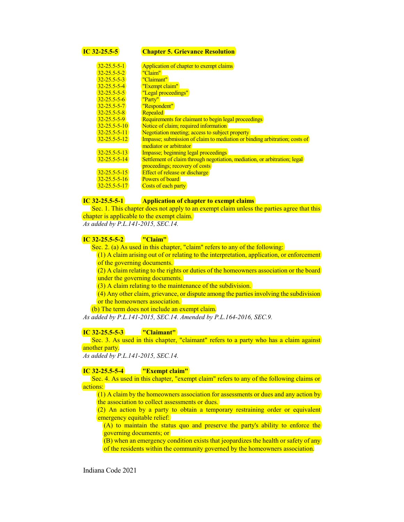# **IC 32-25.5-5 Chapter 5. Grievance Resolution**

| $32 - 25.5 - 5 - 1$  | Application of chapter to exempt claims                                    |
|----------------------|----------------------------------------------------------------------------|
| $32 - 25.5 - 5 - 2$  | "Claim"                                                                    |
| $32 - 25.5 - 5 - 3$  | "Claimant"                                                                 |
| $32 - 25.5 - 5 - 4$  | "Exempt claim"                                                             |
| $32 - 25.5 - 5 - 5$  | "Legal proceedings"                                                        |
| $32 - 25.5 - 5 - 6$  | "Party"                                                                    |
| $32 - 25.5 - 5 - 7$  | "Respondent"                                                               |
| $32 - 25.5 - 5 - 8$  | Repealed                                                                   |
| $32 - 25.5 - 5 - 9$  | Requirements for claimant to begin legal proceedings                       |
| $32 - 25.5 - 5 - 10$ | Notice of claim; required information                                      |
| $32 - 25.5 - 5 - 11$ | Negotiation meeting; access to subject property                            |
| $32 - 25.5 - 5 - 12$ | Impasse; submission of claim to mediation or binding arbitration; costs of |
|                      | mediator or arbitrator                                                     |
| $32 - 25.5 - 5 - 13$ | Impasse; beginning legal proceedings                                       |
| $32 - 25.5 - 5 - 14$ | Settlement of claim through negotiation, mediation, or arbitration; legal  |
|                      | proceedings; recovery of costs                                             |
| $32 - 25.5 - 5 - 15$ | <b>Effect of release or discharge</b>                                      |
| $32 - 25.5 - 5 - 16$ | Powers of board                                                            |
| $32 - 25.5 - 5 - 17$ | Costs of each party                                                        |

# **IC 32-25.5-5-1 Application of chapter to exempt claims**

Sec. 1. This chapter does not apply to an exempt claim unless the parties agree that this chapter is applicable to the exempt claim.

*As added by P.L.141-2015, SEC.14.*

# **IC 32-25.5-5-2 "Claim"**

Sec. 2. (a) As used in this chapter, "claim" refers to any of the following:

 $(1)$  A claim arising out of or relating to the interpretation, application, or enforcement of the governing documents.

 $(2)$  A claim relating to the rights or duties of the homeowners association or the board under the governing documents.

(3) A claim relating to the maintenance of the subdivision.

(4) Any other claim, grievance, or dispute among the parties involving the subdivision or the homeowners association.

(b) The term does not include an exempt claim.

*As added by P.L.141-2015, SEC.14. Amended by P.L.164-2016, SEC.9.*

#### **IC 32-25.5-5-3 "Claimant"**

Sec. 3. As used in this chapter, "claimant" refers to a party who has a claim against another party.

*As added by P.L.141-2015, SEC.14.*

## **IC 32-25.5-5-4 "Exempt claim"**

Sec. 4. As used in this chapter, "exempt claim" refers to any of the following claims or actions:

(1) A claim by the homeowners association for assessments or dues and any action by the association to collect assessments or dues.

 $(2)$  An action by a party to obtain a temporary restraining order or equivalent emergency equitable relief:

(A) to maintain the status quo and preserve the party's ability to enforce the governing documents; or

(B) when an emergency condition exists that jeopardizes the health or safety of any of the residents within the community governed by the homeowners association.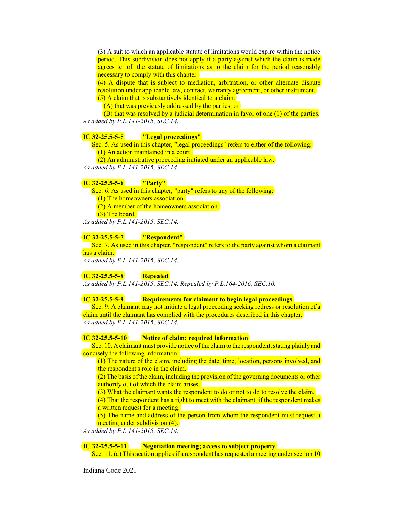(3) A suit to which an applicable statute of limitations would expire within the notice period. This subdivision does not apply if a party against which the claim is made agrees to toll the statute of limitations as to the claim for the period reasonably necessary to comply with this chapter.

(4) A dispute that is subject to mediation, arbitration, or other alternate dispute resolution under applicable law, contract, warranty agreement, or other instrument. (5) A claim that is substantively identical to a claim:

(A) that was previously addressed by the parties; or

(B) that was resolved by a judicial determination in favor of one (1) of the parties. *As added by P.L.141-2015, SEC.14.*

### **IC 32-25.5-5-5 "Legal proceedings"**

Sec. 5. As used in this chapter, "legal proceedings" refers to either of the following: (1) An action maintained in a court.

(2) An administrative proceeding initiated under an applicable law.

*As added by P.L.141-2015, SEC.14.*

# **IC 32-25.5-5-6 "Party"**

Sec. 6. As used in this chapter, "party" refers to any of the following:

(1) The homeowners association.

(2) A member of the homeowners association.

(3) The board.

*As added by P.L.141-2015, SEC.14.*

#### **IC 32-25.5-5-7 "Respondent"**

Sec. 7. As used in this chapter, "respondent" refers to the party against whom a claimant has a claim.

*As added by P.L.141-2015, SEC.14.*

# **IC 32-25.5-5-8 Repealed**

*As added by P.L.141-2015, SEC.14. Repealed by P.L.164-2016, SEC.10.*

### **IC 32-25.5-5-9 Requirements for claimant to begin legal proceedings**

Sec. 9. A claimant may not initiate a legal proceeding seeking redress or resolution of a claim until the claimant has complied with the procedures described in this chapter. *As added by P.L.141-2015, SEC.14.*

#### **IC 32-25.5-5-10 Notice of claim; required information**

Sec. 10. A claimant must provide notice of the claim to the respondent, stating plainly and concisely the following information:

(1) The nature of the claim, including the date, time, location, persons involved, and the respondent's role in the claim.

 $(2)$  The basis of the claim, including the provision of the governing documents or other authority out of which the claim arises.

(3) What the claimant wants the respondent to do or not to do to resolve the claim.

(4) That the respondent has a right to meet with the claimant, if the respondent makes a written request for a meeting.

(5) The name and address of the person from whom the respondent must request a meeting under subdivision (4).

*As added by P.L.141-2015, SEC.14.*

**IC 32-25.5-5-11 Negotiation meeting; access to subject property**

Sec. 11. (a) This section applies if a respondent has requested a meeting under section 10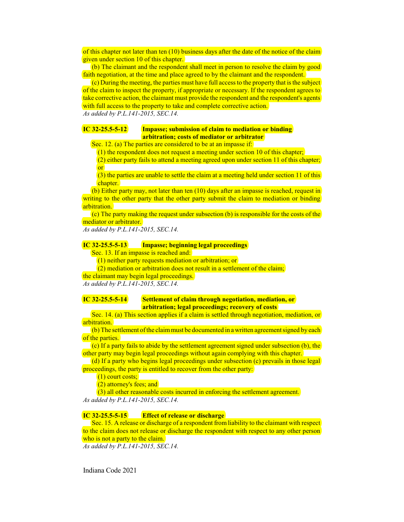of this chapter not later than ten (10) business days after the date of the notice of the claim given under section 10 of this chapter.

(b) The claimant and the respondent shall meet in person to resolve the claim by good faith negotiation, at the time and place agreed to by the claimant and the respondent.

(c) During the meeting, the parties must have full access to the property that is the subject of the claim to inspect the property, if appropriate or necessary. If the respondent agrees to take corrective action, the claimant must provide the respondent and the respondent's agents with full access to the property to take and complete corrective action. *As added by P.L.141-2015, SEC.14.*

# **IC 32-25.5-5-12 Impasse; submission of claim to mediation or binding arbitration; costs of mediator or arbitrator**

Sec. 12. (a) The parties are considered to be at an impasse if:

(1) the respondent does not request a meeting under section 10 of this chapter;

(2) either party fails to attend a meeting agreed upon under section 11 of this chapter; or

(3) the parties are unable to settle the claim at a meeting held under section 11 of this chapter.

(b) Either party may, not later than ten (10) days after an impasse is reached, request in writing to the other party that the other party submit the claim to mediation or binding arbitration.

 $(c)$  The party making the request under subsection (b) is responsible for the costs of the mediator or arbitrator.

*As added by P.L.141-2015, SEC.14.*

## **IC 32-25.5-5-13 Impasse; beginning legal proceedings**

Sec. 13. If an impasse is reached and:

(1) neither party requests mediation or arbitration; or

(2) mediation or arbitration does not result in a settlement of the claim;

the claimant may begin legal proceedings.

*As added by P.L.141-2015, SEC.14.*

## **IC 32-25.5-5-14 Settlement of claim through negotiation, mediation, or arbitration; legal proceedings; recovery of costs**

Sec. 14. (a) This section applies if a claim is settled through negotiation, mediation, or arbitration.

(b) The settlement of the claim must be documented in a written agreement signed by each of the parties.

(c) If a party fails to abide by the settlement agreement signed under subsection (b), the other party may begin legal proceedings without again complying with this chapter.

(d) If a party who begins legal proceedings under subsection (c) prevails in those legal proceedings, the party is entitled to recover from the other party:

(1) court costs;

(2) attorney's fees; and

(3) all other reasonable costs incurred in enforcing the settlement agreement. *As added by P.L.141-2015, SEC.14.*

# **IC 32-25.5-5-15 Effect of release or discharge**

Sec. 15. A release or discharge of a respondent from liability to the claimant with respect to the claim does not release or discharge the respondent with respect to any other person who is not a party to the claim.

*As added by P.L.141-2015, SEC.14.*